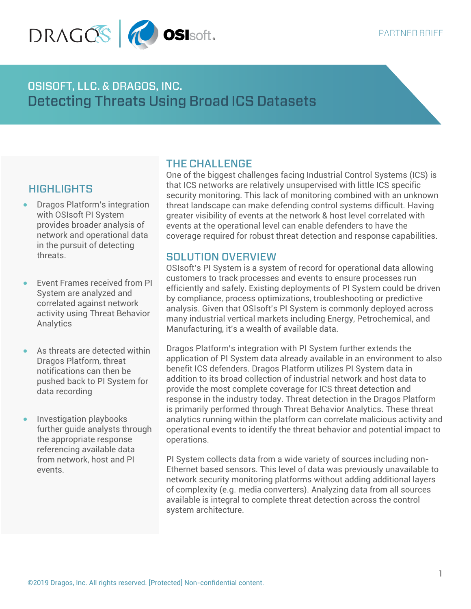

**OSISOFT, LLC. & DRAGOS, INC. Detecting Threats Using Broad ICS Datasets** 

# **HIGHLIGHTS**

- Dragos Platform's integration with OSIsoft PI System provides broader analysis of network and operational data in the pursuit of detecting threats.
- Event Frames received from PI System are analyzed and correlated against network activity using Threat Behavior Analytics
- As threats are detected within Dragos Platform, threat notifications can then be pushed back to PI System for data recording
- Investigation playbooks further guide analysts through the appropriate response referencing available data from network, host and PI events.

#### **THE CHALLENGE**

One of the biggest challenges facing Industrial Control Systems (ICS) is that ICS networks are relatively unsupervised with little ICS specific security monitoring. This lack of monitoring combined with an unknown threat landscape can make defending control systems difficult. Having greater visibility of events at the network & host level correlated with events at the operational level can enable defenders to have the coverage required for robust threat detection and response capabilities.

### **SOLUTION OVERVIEW**

OSIsoft's PI System is a system of record for operational data allowing customers to track processes and events to ensure processes run efficiently and safely. Existing deployments of PI System could be driven by compliance, process optimizations, troubleshooting or predictive analysis. Given that OSIsoft's PI System is commonly deployed across many industrial vertical markets including Energy, Petrochemical, and Manufacturing, it's a wealth of available data.

Dragos Platform's integration with PI System further extends the application of PI System data already available in an environment to also benefit ICS defenders. Dragos Platform utilizes PI System data in addition to its broad collection of industrial network and host data to provide the most complete coverage for ICS threat detection and response in the industry today. Threat detection in the Dragos Platform is primarily performed through Threat Behavior Analytics. These threat analytics running within the platform can correlate malicious activity and operational events to identify the threat behavior and potential impact to operations.

PI System collects data from a wide variety of sources including non-Ethernet based sensors. This level of data was previously unavailable to network security monitoring platforms without adding additional layers of complexity (e.g. media converters). Analyzing data from all sources available is integral to complete threat detection across the control system architecture.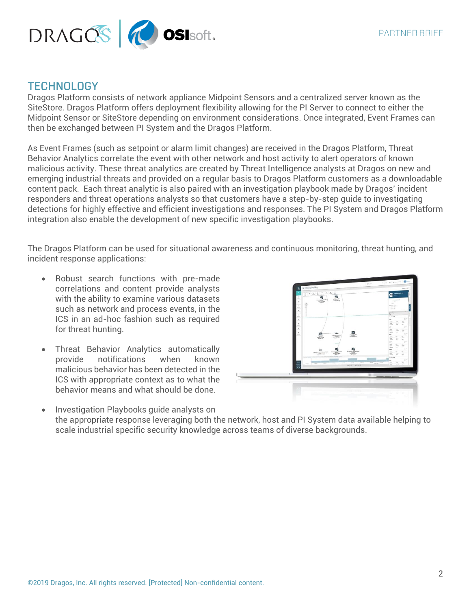

### **TECHNOLOGY**

Dragos Platform consists of network appliance Midpoint Sensors and a centralized server known as the SiteStore. Dragos Platform offers deployment flexibility allowing for the PI Server to connect to either the Midpoint Sensor or SiteStore depending on environment considerations. Once integrated, Event Frames can then be exchanged between PI System and the Dragos Platform.

As Event Frames (such as setpoint or alarm limit changes) are received in the Dragos Platform, Threat Behavior Analytics correlate the event with other network and host activity to alert operators of known malicious activity. These threat analytics are created by Threat Intelligence analysts at Dragos on new and emerging industrial threats and provided on a regular basis to Dragos Platform customers as a downloadable content pack. Each threat analytic is also paired with an investigation playbook made by Dragos' incident responders and threat operations analysts so that customers have a step-by-step guide to investigating detections for highly effective and efficient investigations and responses. The PI System and Dragos Platform integration also enable the development of new specific investigation playbooks.

The Dragos Platform can be used for situational awareness and continuous monitoring, threat hunting, and incident response applications:

- Robust search functions with pre-made correlations and content provide analysts with the ability to examine various datasets such as network and process events, in the ICS in an ad-hoc fashion such as required for threat hunting.
- Threat Behavior Analytics automatically provide notifications when known malicious behavior has been detected in the ICS with appropriate context as to what the behavior means and what should be done.



• Investigation Playbooks guide analysts on the appropriate response leveraging both the network, host and PI System data available helping to scale industrial specific security knowledge across teams of diverse backgrounds.